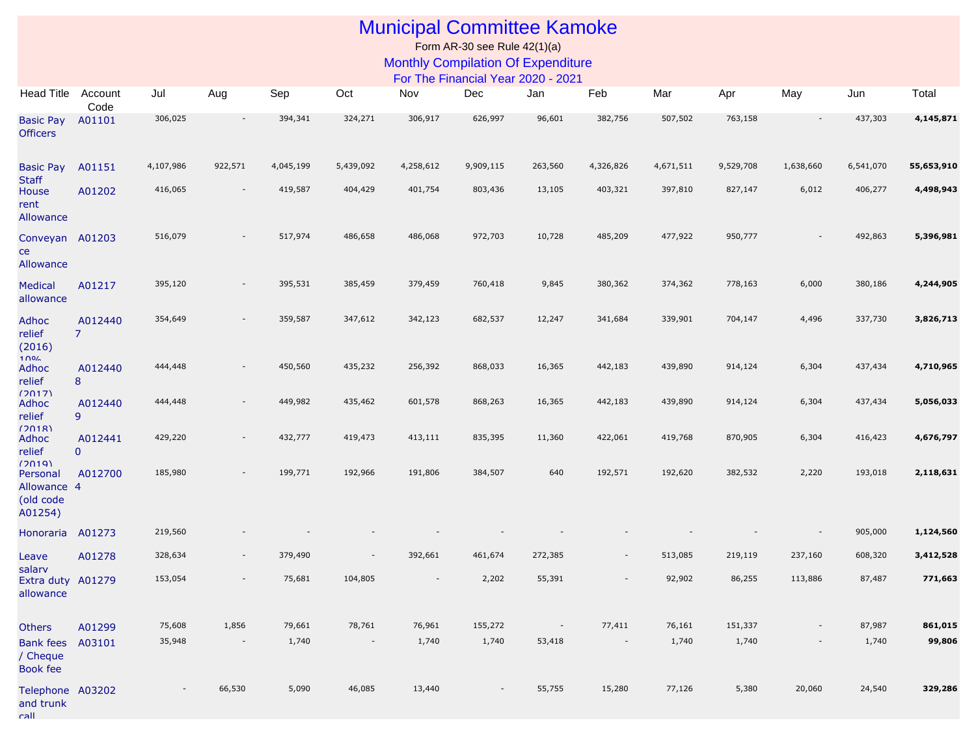## Municipal Committee Kamoke

Form AR-30 see Rule 42(1)(a) Monthly Compilation Of Expenditure

For The Financial Year 2020 - 2021

| Head Title Account                              | Code                      | Jul       | Aug                      | Sep       | Oct       | Nov       | Dec       | Jan                      | Feb                      | Mar       | Apr       | May       | Jun       | Total      |
|-------------------------------------------------|---------------------------|-----------|--------------------------|-----------|-----------|-----------|-----------|--------------------------|--------------------------|-----------|-----------|-----------|-----------|------------|
| <b>Basic Pay</b><br><b>Officers</b>             | A01101                    | 306,025   |                          | 394,341   | 324,271   | 306,917   | 626,997   | 96,601                   | 382,756                  | 507,502   | 763,158   |           | 437,303   | 4,145,871  |
| <b>Basic Pay</b>                                | A01151                    | 4,107,986 | 922,571                  | 4,045,199 | 5,439,092 | 4,258,612 | 9,909,115 | 263,560                  | 4,326,826                | 4,671,511 | 9,529,708 | 1,638,660 | 6,541,070 | 55,653,910 |
| <b>Staff</b><br>House<br>rent<br>Allowance      | A01202                    | 416,065   | $\overline{\phantom{a}}$ | 419,587   | 404,429   | 401,754   | 803,436   | 13,105                   | 403,321                  | 397,810   | 827,147   | 6,012     | 406,277   | 4,498,943  |
| Conveyan A01203<br>ce<br>Allowance              |                           | 516,079   |                          | 517,974   | 486,658   | 486,068   | 972,703   | 10,728                   | 485,209                  | 477,922   | 950,777   |           | 492,863   | 5,396,981  |
| <b>Medical</b><br>allowance                     | A01217                    | 395,120   | $\overline{\phantom{a}}$ | 395,531   | 385,459   | 379,459   | 760,418   | 9,845                    | 380,362                  | 374,362   | 778,163   | 6,000     | 380,186   | 4,244,905  |
| Adhoc<br>relief<br>(2016)<br>100 <sub>6</sub>   | A012440<br>$\overline{7}$ | 354,649   | $\overline{\phantom{a}}$ | 359,587   | 347,612   | 342,123   | 682,537   | 12,247                   | 341,684                  | 339,901   | 704,147   | 4,496     | 337,730   | 3,826,713  |
| Adhoc<br>relief<br>(2017)                       | A012440<br>8              | 444,448   | $\overline{\phantom{a}}$ | 450,560   | 435,232   | 256,392   | 868,033   | 16,365                   | 442,183                  | 439,890   | 914,124   | 6,304     | 437,434   | 4,710,965  |
| Adhoc<br>relief<br>(2018)                       | A012440<br>9              | 444,448   | $\overline{\phantom{a}}$ | 449,982   | 435,462   | 601,578   | 868,263   | 16,365                   | 442,183                  | 439,890   | 914,124   | 6,304     | 437,434   | 5,056,033  |
| Adhoc<br>relief<br>(2019)                       | A012441<br>$\mathbf{0}$   | 429,220   | $\overline{\phantom{a}}$ | 432,777   | 419,473   | 413,111   | 835,395   | 11,360                   | 422,061                  | 419,768   | 870,905   | 6,304     | 416,423   | 4,676,797  |
| Personal<br>Allowance 4<br>(old code<br>A01254) | A012700                   | 185,980   |                          | 199,771   | 192,966   | 191,806   | 384,507   | 640                      | 192,571                  | 192,620   | 382,532   | 2,220     | 193,018   | 2,118,631  |
| Honoraria                                       | A01273                    | 219,560   |                          |           |           |           |           |                          |                          |           |           |           | 905,000   | 1,124,560  |
| Leave<br>salarv                                 | A01278                    | 328,634   | $\overline{\phantom{a}}$ | 379,490   |           | 392,661   | 461,674   | 272,385                  | $\overline{\phantom{a}}$ | 513,085   | 219,119   | 237,160   | 608,320   | 3,412,528  |
| Extra duty A01279<br>allowance                  |                           | 153,054   |                          | 75,681    | 104,805   |           | 2,202     | 55,391                   |                          | 92,902    | 86,255    | 113,886   | 87,487    | 771,663    |
| <b>Others</b>                                   | A01299                    | 75,608    | 1,856                    | 79,661    | 78,761    | 76,961    | 155,272   | $\overline{\phantom{a}}$ | 77,411                   | 76,161    | 151,337   |           | 87,987    | 861,015    |
| <b>Bank fees</b><br>/ Cheque<br>Book fee        | A03101                    | 35,948    | $\overline{\phantom{a}}$ | 1,740     | $\sim$    | 1,740     | 1,740     | 53,418                   | $\overline{\phantom{a}}$ | 1,740     | 1,740     |           | 1,740     | 99,806     |
| Telephone A03202<br>and trunk<br>call           |                           |           | 66,530                   | 5,090     | 46,085    | 13,440    |           | 55,755                   | 15,280                   | 77,126    | 5,380     | 20,060    | 24,540    | 329,286    |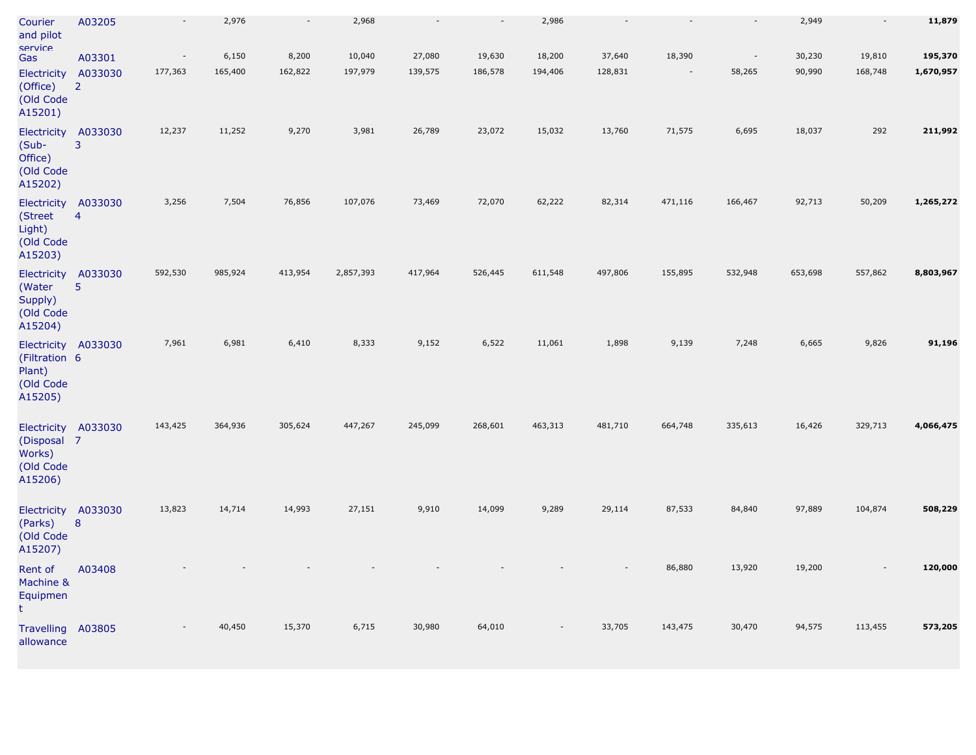| Courier<br>and pilot<br>Service                                        | A03205                    | $\overline{\phantom{a}}$ | 2,976   | $\overline{\phantom{a}}$ | 2,968     |         | $\sim$  | 2,986          |         |                          | $\sim$                   | 2,949   | $\sim$  | 11,879    |
|------------------------------------------------------------------------|---------------------------|--------------------------|---------|--------------------------|-----------|---------|---------|----------------|---------|--------------------------|--------------------------|---------|---------|-----------|
| Gas                                                                    | A03301                    | $\overline{\phantom{a}}$ | 6,150   | 8,200                    | 10,040    | 27,080  | 19,630  | 18,200         | 37,640  | 18,390                   | $\overline{\phantom{a}}$ | 30,230  | 19,810  | 195,370   |
| Electricity<br>(Office)<br>(Old Code<br>A15201)                        | A033030<br>$\overline{2}$ | 177,363                  | 165,400 | 162,822                  | 197,979   | 139,575 | 186,578 | 194,406        | 128,831 | $\overline{\phantom{a}}$ | 58,265                   | 90,990  | 168,748 | 1,670,957 |
| Electricity<br>(Sub-<br>Office)<br>(Old Code<br>A15202)                | A033030<br>3              | 12,237                   | 11,252  | 9,270                    | 3,981     | 26,789  | 23,072  | 15,032         | 13,760  | 71,575                   | 6,695                    | 18,037  | 292     | 211,992   |
| Electricity A033030<br>(Street<br>Light)<br>(Old Code<br>A15203)       | $\overline{4}$            | 3,256                    | 7,504   | 76,856                   | 107,076   | 73,469  | 72,070  | 62,222         | 82,314  | 471,116                  | 166,467                  | 92,713  | 50,209  | 1,265,272 |
| Electricity A033030<br>(Water<br>Supply)<br>(Old Code<br>A15204)       | 5                         | 592,530                  | 985,924 | 413,954                  | 2,857,393 | 417,964 | 526,445 | 611,548        | 497,806 | 155,895                  | 532,948                  | 653,698 | 557,862 | 8,803,967 |
| Electricity A033030<br>(Filtration 6<br>Plant)<br>(Old Code<br>A15205) |                           | 7,961                    | 6,981   | 6,410                    | 8,333     | 9,152   | 6,522   | 11,061         | 1,898   | 9,139                    | 7,248                    | 6,665   | 9,826   | 91,196    |
| Electricity A033030<br>(Disposal 7<br>Works)<br>(Old Code<br>A15206)   |                           | 143,425                  | 364,936 | 305,624                  | 447,267   | 245,099 | 268,601 | 463,313        | 481,710 | 664,748                  | 335,613                  | 16,426  | 329,713 | 4,066,475 |
| Electricity A033030<br>(Parks)<br>(Old Code<br>A15207)                 | 8                         | 13,823                   | 14,714  | 14,993                   | 27,151    | 9,910   | 14,099  | 9,289          | 29,114  | 87,533                   | 84,840                   | 97,889  | 104,874 | 508,229   |
| Rent of<br>Machine &<br>Equipmen<br>۲                                  | A03408                    |                          |         |                          |           |         |         |                |         | 86,880                   | 13,920                   | 19,200  |         | 120,000   |
| <b>Travelling</b><br>allowance                                         | A03805                    |                          | 40,450  | 15,370                   | 6,715     | 30,980  | 64,010  | $\overline{a}$ | 33,705  | 143,475                  | 30,470                   | 94,575  | 113,455 | 573,205   |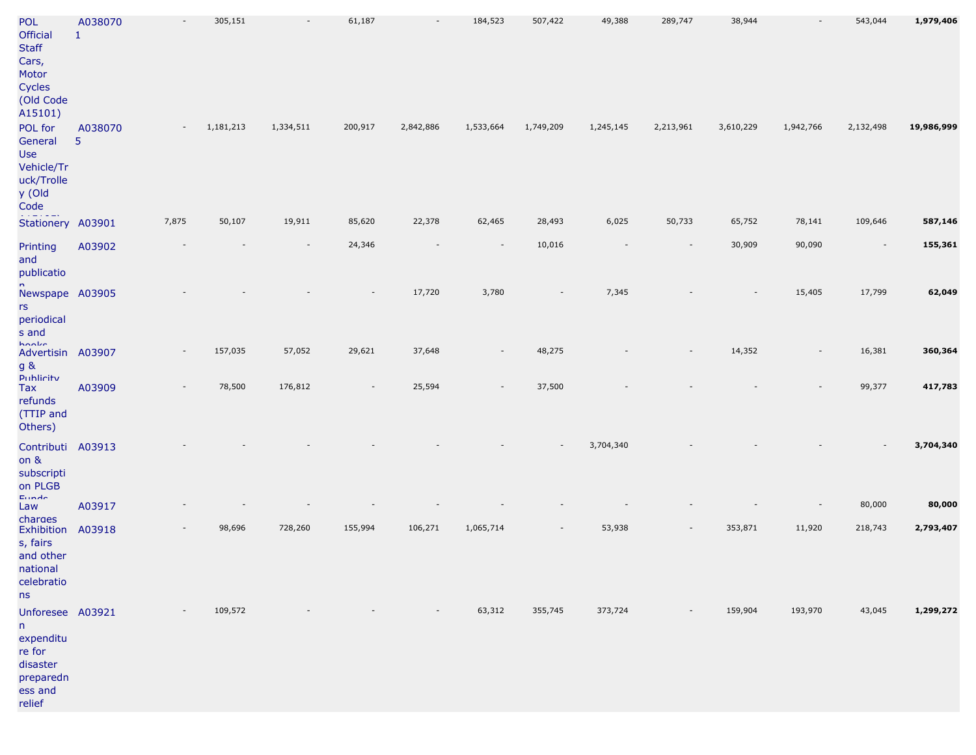| POL<br><b>Official</b><br>Staff<br>Cars,<br>Motor<br>Cycles<br>Old Code<br>A15101)           | A038070<br>$\mathbf{1}$   |                          | 305,151   |                          | 61,187     |           | 184,523                  | 507,422   | 49,388    | 289,747   | 38,944    |                          | 543,044   | 1,979,406  |
|----------------------------------------------------------------------------------------------|---------------------------|--------------------------|-----------|--------------------------|------------|-----------|--------------------------|-----------|-----------|-----------|-----------|--------------------------|-----------|------------|
| POL for<br>General<br>Use<br>Vehicle/Tr<br>uck/Trolle<br>y (Old<br>Code                      | A038070<br>$5\phantom{.}$ |                          | 1,181,213 | 1,334,511                | 200,917    | 2,842,886 | 1,533,664                | 1,749,209 | 1,245,145 | 2,213,961 | 3,610,229 | 1,942,766                | 2,132,498 | 19,986,999 |
| Stationery A03901                                                                            |                           | 7,875                    | 50,107    | 19,911                   | 85,620     | 22,378    | 62,465                   | 28,493    | 6,025     | 50,733    | 65,752    | 78,141                   | 109,646   | 587,146    |
| Printing<br>and<br>publicatio                                                                | A03902                    |                          |           | $\overline{\phantom{a}}$ | 24,346     |           | $\overline{\phantom{a}}$ | 10,016    |           |           | 30,909    | 90,090                   | $\sim$    | 155,361    |
| Newspape A03905<br>rs<br>periodical<br>s and                                                 |                           |                          |           |                          |            | 17,720    | 3,780                    |           | 7,345     |           |           | 15,405                   | 17,799    | 62,049     |
| hoolie<br>Advertisin A03907<br>g &                                                           |                           | $\overline{\phantom{a}}$ | 157,035   | 57,052                   | 29,621     | 37,648    | $\overline{\phantom{a}}$ | 48,275    |           |           | 14,352    | $\overline{\phantom{a}}$ | 16,381    | 360,364    |
| Publicity<br>Tax<br>refunds<br>(TTIP and<br>Others)                                          | A03909                    |                          | 78,500    | 176,812                  |            | 25,594    |                          | 37,500    |           |           |           |                          | 99,377    | 417,783    |
| Contributi A03913<br>on &<br>subscripti<br>on PLGB<br><b>Europe</b>                          |                           |                          |           |                          |            |           |                          |           | 3,704,340 |           |           |                          |           | 3,704,340  |
| Law                                                                                          | A03917                    |                          |           |                          |            |           |                          |           |           |           |           |                          | 80,000    | 80,000     |
| charges<br>Exhibition A03918<br>s, fairs<br>and other<br>national<br>celebratio<br>ns        |                           |                          | 98,696    | 728,260                  | 155,994    | 106,271   | 1,065,714                |           | 53,938    |           | 353,871   | 11,920                   | 218,743   | 2,793,407  |
| Unforesee A03921<br>n -<br>expenditu<br>re for<br>disaster<br>preparedn<br>ess and<br>relief |                           | $\sim$ $ \sim$           | 109,572   | $\sim$                   | $\sim$ $-$ | $\sim$    | 63,312                   | 355,745   | 373,724   | $\sim$    | 159,904   | 193,970                  | 43,045    | 1,299,272  |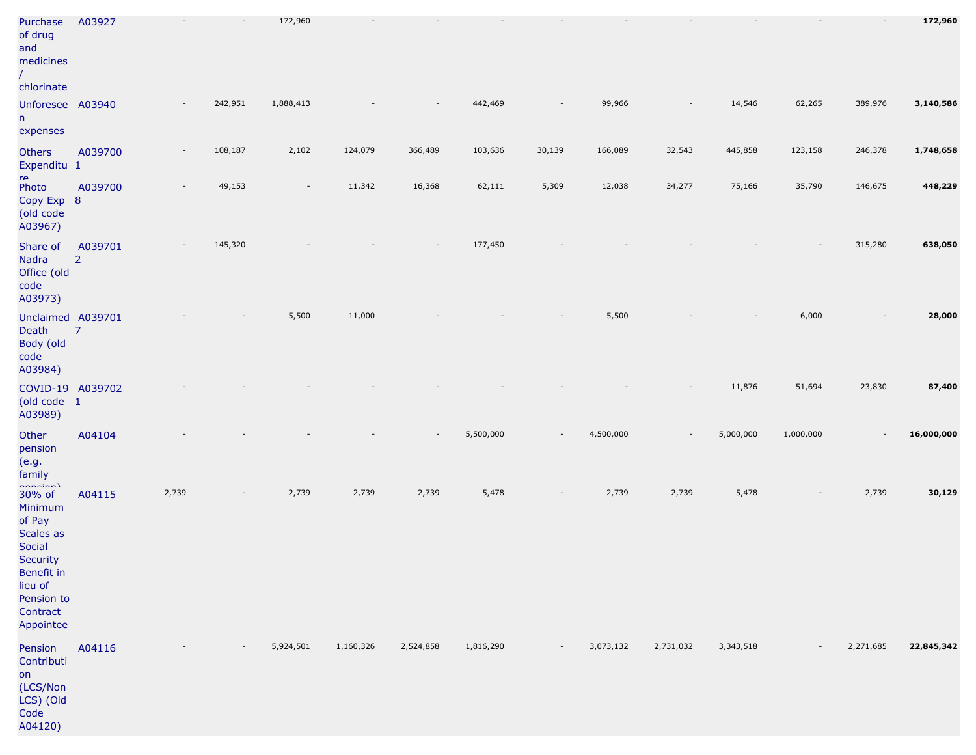| Purchase<br>of drug<br>and<br>medicines<br>chlorinate                                                                                      | A03927                    |       |         | 172,960                  |           |           |           |        |           |                          |           |           |                          | 172,960    |
|--------------------------------------------------------------------------------------------------------------------------------------------|---------------------------|-------|---------|--------------------------|-----------|-----------|-----------|--------|-----------|--------------------------|-----------|-----------|--------------------------|------------|
| Unforesee A03940<br>n<br>expenses                                                                                                          |                           |       | 242,951 | 1,888,413                |           |           | 442,469   |        | 99,966    |                          | 14,546    | 62,265    | 389,976                  | 3,140,586  |
| Others<br>Expenditu 1                                                                                                                      | A039700                   |       | 108,187 | 2,102                    | 124,079   | 366,489   | 103,636   | 30,139 | 166,089   | 32,543                   | 445,858   | 123,158   | 246,378                  | 1,748,658  |
| $r_{\Theta}$<br>Photo<br>Copy Exp 8<br>(old code<br>A03967)                                                                                | A039700                   |       | 49,153  | $\overline{\phantom{a}}$ | 11,342    | 16,368    | 62,111    | 5,309  | 12,038    | 34,277                   | 75,166    | 35,790    | 146,675                  | 448,229    |
| Share of<br><b>Nadra</b><br>Office (old<br>code<br>A03973)                                                                                 | A039701<br>$\overline{2}$ |       | 145,320 |                          |           |           | 177,450   |        |           |                          |           |           | 315,280                  | 638,050    |
| Unclaimed A039701<br>Death<br>Body (old<br>code<br>A03984)                                                                                 | $\overline{7}$            |       |         | 5,500                    | 11,000    |           |           |        | 5,500     |                          |           | 6,000     |                          | 28,000     |
| COVID-19 A039702<br>(old code 1<br>A03989)                                                                                                 |                           |       |         |                          |           |           |           |        |           |                          | 11,876    | 51,694    | 23,830                   | 87,400     |
| Other<br>pension<br>(e.g.<br>family                                                                                                        | A04104                    |       |         |                          |           | $\sim$    | 5,500,000 |        | 4,500,000 | $\overline{\phantom{a}}$ | 5,000,000 | 1,000,000 | $\overline{\phantom{a}}$ | 16,000,000 |
| nanaian)<br>30% of<br>Minimum<br>of Pay<br>Scales as<br>Social<br>Security<br>Benefit in<br>lieu of<br>Pension to<br>Contract<br>Appointee | A04115                    | 2,739 |         | 2,739                    | 2,739     | 2,739     | 5,478     |        | 2,739     | 2,739                    | 5,478     |           | 2,739                    | 30,129     |
| Pension<br>Contributi<br>on<br>(LCS/Non<br>LCS) (Old<br>Code<br>A04120)                                                                    | A04116                    |       |         | 5,924,501                | 1,160,326 | 2,524,858 | 1,816,290 | $\sim$ | 3,073,132 | 2,731,032                | 3,343,518 |           | 2,271,685                | 22,845,342 |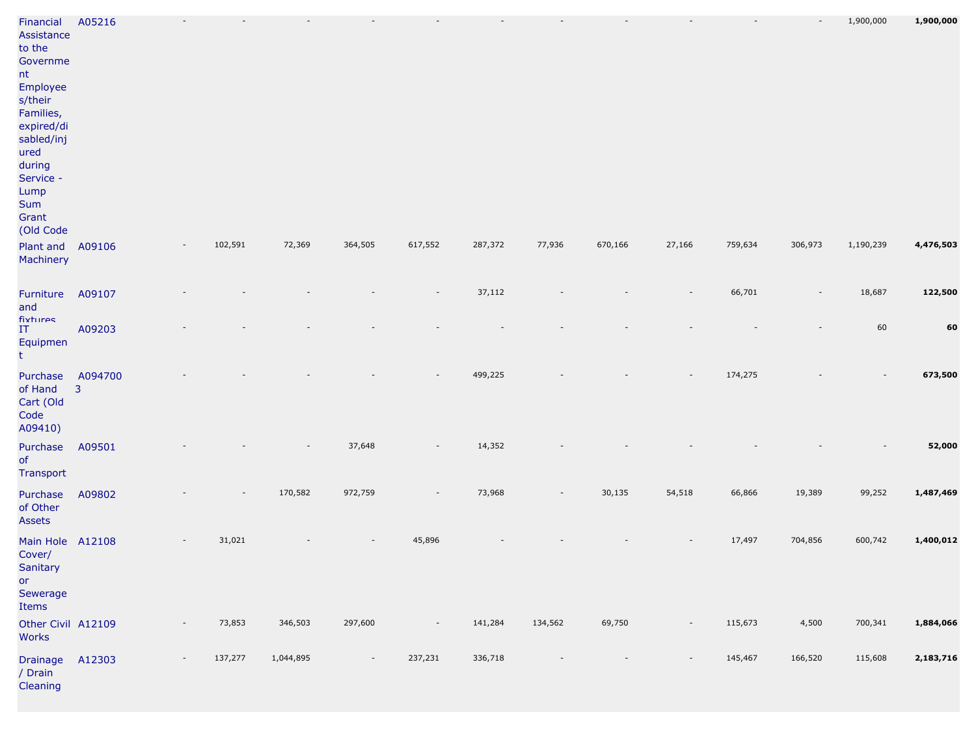| Financial<br>Assistance<br>to the<br>Governme<br>nt<br>Employee<br>s/their<br>Families,<br>expired/di<br>sabled/inj<br>ured<br>during<br>Service -<br>Lump<br>Sum<br>Grant<br>(Old Code | A05216                    |                          |         |           |                          |                          |         |         |         |        |         |         | 1,900,000 | 1,900,000 |
|-----------------------------------------------------------------------------------------------------------------------------------------------------------------------------------------|---------------------------|--------------------------|---------|-----------|--------------------------|--------------------------|---------|---------|---------|--------|---------|---------|-----------|-----------|
| Plant and<br>Machinery                                                                                                                                                                  | A09106                    |                          | 102,591 | 72,369    | 364,505                  | 617,552                  | 287,372 | 77,936  | 670,166 | 27,166 | 759,634 | 306,973 | 1,190,239 | 4,476,503 |
| Furniture<br>and                                                                                                                                                                        | A09107                    |                          |         |           |                          |                          | 37,112  |         |         |        | 66,701  |         | 18,687    | 122,500   |
| fixtures<br>IT<br>Equipmen<br>t.                                                                                                                                                        | A09203                    |                          |         |           |                          |                          |         |         |         |        |         |         | 60        | 60        |
| Purchase<br>of Hand<br>Cart (Old<br>Code<br>A09410)                                                                                                                                     | A094700<br>$\overline{3}$ |                          |         |           |                          |                          | 499,225 |         |         |        | 174,275 |         |           | 673,500   |
| Purchase<br>of<br>Transport                                                                                                                                                             | A09501                    |                          |         |           | 37,648                   |                          | 14,352  |         |         |        |         |         |           | 52,000    |
| Purchase<br>of Other<br>Assets                                                                                                                                                          | A09802                    |                          |         | 170,582   | 972,759                  |                          | 73,968  |         | 30,135  | 54,518 | 66,866  | 19,389  | 99,252    | 1,487,469 |
| Main Hole A12108<br>Cover/<br>Sanitary<br>or<br>Sewerage<br>Items                                                                                                                       |                           |                          | 31,021  |           |                          | 45,896                   |         |         |         |        | 17,497  | 704,856 | 600,742   | 1,400,012 |
| Other Civil A12109<br><b>Works</b>                                                                                                                                                      |                           | $\overline{\phantom{a}}$ | 73,853  | 346,503   | 297,600                  | $\overline{\phantom{a}}$ | 141,284 | 134,562 | 69,750  | $\sim$ | 115,673 | 4,500   | 700,341   | 1,884,066 |
| Drainage A12303<br>/ Drain<br>Cleaning                                                                                                                                                  |                           | $\overline{\phantom{a}}$ | 137,277 | 1,044,895 | $\overline{\phantom{a}}$ | 237,231                  | 336,718 |         |         |        | 145,467 | 166,520 | 115,608   | 2,183,716 |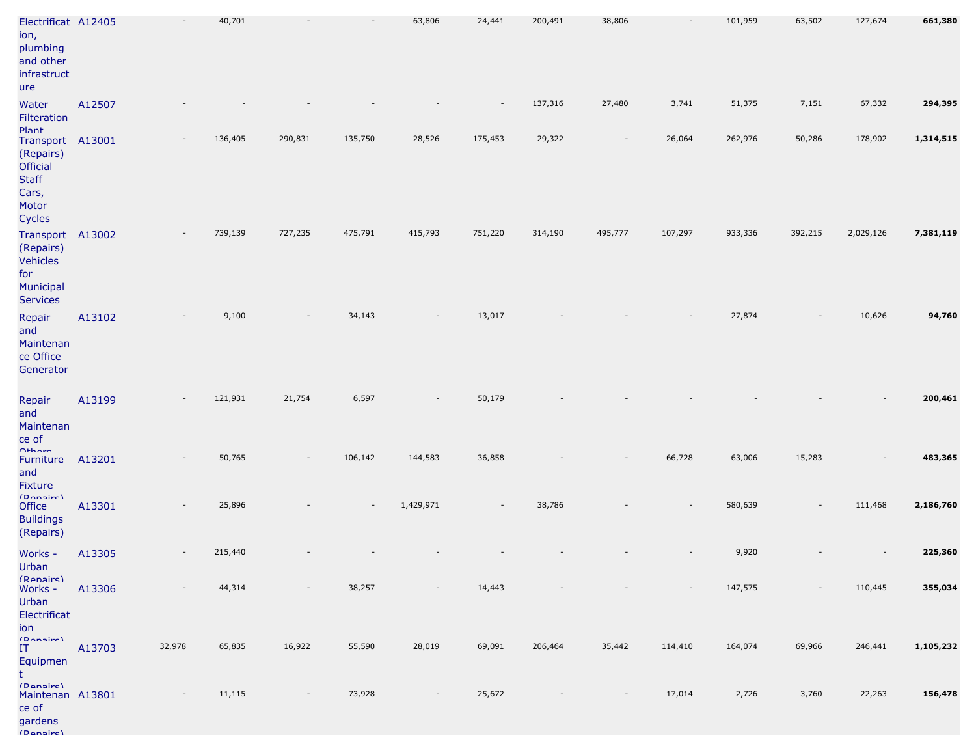| Electrificat A12405<br>ion,<br>plumbing<br>and other<br>infrastruct<br>ure                     |        |                          | 40,701  |         | $\overline{\phantom{a}}$ | 63,806    | 24,441                   | 200,491 | 38,806                   |         | 101,959 | 63,502                   | 127,674   | 661,380   |
|------------------------------------------------------------------------------------------------|--------|--------------------------|---------|---------|--------------------------|-----------|--------------------------|---------|--------------------------|---------|---------|--------------------------|-----------|-----------|
| Water<br>Filteration                                                                           | A12507 |                          |         |         |                          |           |                          | 137,316 | 27,480                   | 3,741   | 51,375  | 7,151                    | 67,332    | 294,395   |
| Plant<br>Transport A13001<br>(Repairs)<br>Official<br><b>Staff</b><br>Cars,<br>Motor<br>Cycles |        |                          | 136,405 | 290,831 | 135,750                  | 28,526    | 175,453                  | 29,322  | $\overline{\phantom{a}}$ | 26,064  | 262,976 | 50,286                   | 178,902   | 1,314,515 |
| Transport<br>(Repairs)<br><b>Vehicles</b><br>for<br>Municipal<br><b>Services</b>               | A13002 |                          | 739,139 | 727,235 | 475,791                  | 415,793   | 751,220                  | 314,190 | 495,777                  | 107,297 | 933,336 | 392,215                  | 2,029,126 | 7,381,119 |
| Repair<br>and<br>Maintenan<br>ce Office<br>Generator                                           | A13102 |                          | 9,100   |         | 34,143                   |           | 13,017                   |         |                          |         | 27,874  |                          | 10,626    | 94,760    |
| Repair<br>and<br>Maintenan<br>ce of                                                            | A13199 |                          | 121,931 | 21,754  | 6,597                    |           | 50,179                   |         |                          |         |         |                          |           | 200,461   |
| $O+$ <i>horo</i><br>Furniture<br>and<br>Fixture<br>(Danaire)                                   | A13201 |                          | 50,765  |         | 106,142                  | 144,583   | 36,858                   |         |                          | 66,728  | 63,006  | 15,283                   |           | 483,365   |
| Office<br><b>Buildings</b><br>(Repairs)                                                        | A13301 |                          | 25,896  |         | $\overline{\phantom{a}}$ | 1,429,971 | $\overline{\phantom{a}}$ | 38,786  |                          |         | 580,639 |                          | 111,468   | 2,186,760 |
| Works -<br>Urban                                                                               | A13305 |                          | 215,440 |         |                          |           |                          |         |                          |         | 9,920   |                          |           | 225,360   |
| (Renairs)<br>Works -<br>Urban<br>Electrificat<br>ion                                           | A13306 | $\overline{\phantom{a}}$ | 44,314  |         | 38,257                   | $\sim$    | 14,443                   |         | $\overline{\phantom{a}}$ |         | 147,575 | $\overline{\phantom{a}}$ | 110,445   | 355,034   |
| (Domain)<br>IT<br>Equipmen<br>t                                                                | A13703 | 32,978                   | 65,835  | 16,922  | 55,590                   | 28,019    | 69,091                   | 206,464 | 35,442                   | 114,410 | 164,074 | 69,966                   | 246,441   | 1,105,232 |
| (Danaire)<br>Maintenan A13801<br>ce of<br>gardens<br>(Ranairc)                                 |        |                          | 11,115  |         | 73,928                   |           | 25,672                   |         | $\overline{\phantom{a}}$ | 17,014  | 2,726   | 3,760                    | 22,263    | 156,478   |